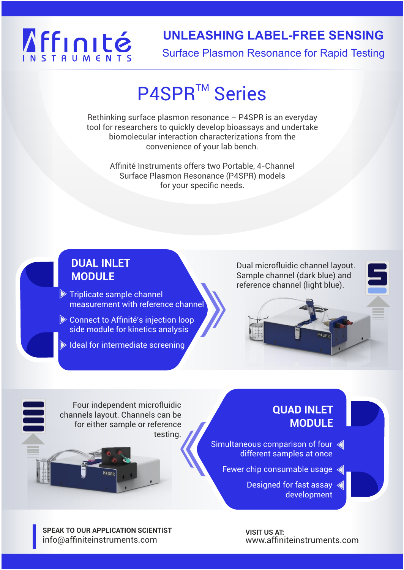# Affinité

# **UNLEASHING LABEL-FREE SENSING**

Surface Plasmon Resonance for Rapid Testing

# P4SPR<sup>™</sup> Series

Rethinking surface plasmon resonance – P4SPR is an everyday tool for researchers to quickly develop bioassays and undertake biomolecular interaction characterizations from the convenience of your lab bench.

> Affinité Instruments offers two Portable, 4-Channel Surface Plasmon Resonance (P4SPR) models for your specific needs.

#### **DUAL INLET MODULE**

 $\triangleright$  Triplicate sample channel measurement with reference channel

Connect to Affinité's injection loop side module for kinetics analysis

 $\blacktriangleright$  Ideal for intermediate screening

Dual microfluidic channel layout. Sample channel (dark blue) and reference channel (light blue).



Four independent microfluidic channels layout. Channels can be for either sample or reference testing.

#### **QUAD INLET MODULE**

- Simultaneous comparison of four < different samples at once
	- Fewer chip consumable usage

Designed for fast assay  $\leq$ development

**SPEAK TO OUR APPLICATION SCIENTIST**  info@affiniteinstruments.com

**VISIT US AT:**  www.affiniteinstruments.com